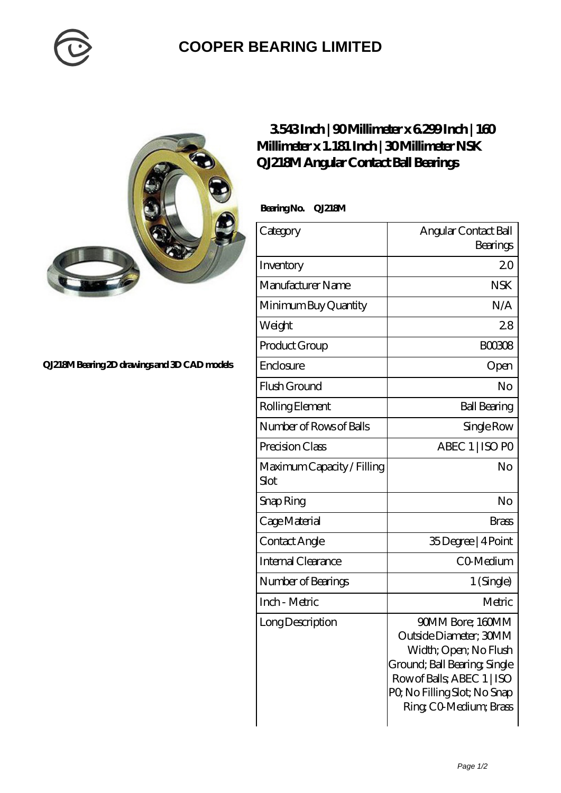

## **[COOPER BEARING LIMITED](https://m.whistlerhotelsmotels.com)**



## **[QJ218M Bearing 2D drawings and 3D CAD models](https://m.whistlerhotelsmotels.com/pic-152961.html)**

## **[3.543 Inch | 90 Millimeter x 6.299 Inch | 160](https://m.whistlerhotelsmotels.com/by-152961-nsk-qj218m-angular-contact-ball-bearings.html) [Millimeter x 1.181 Inch | 30 Millimeter NSK](https://m.whistlerhotelsmotels.com/by-152961-nsk-qj218m-angular-contact-ball-bearings.html) [QJ218M Angular Contact Ball Bearings](https://m.whistlerhotelsmotels.com/by-152961-nsk-qj218m-angular-contact-ball-bearings.html)**

 **Bearing No. QJ218M**

| Category                           | Angular Contact Ball                                                                                                                                                                      |
|------------------------------------|-------------------------------------------------------------------------------------------------------------------------------------------------------------------------------------------|
|                                    | Bearings                                                                                                                                                                                  |
| Inventory                          | 20                                                                                                                                                                                        |
| Manufacturer Name                  | <b>NSK</b>                                                                                                                                                                                |
| Minimum Buy Quantity               | N/A                                                                                                                                                                                       |
| Weight                             | 28                                                                                                                                                                                        |
| Product Group                      | <b>BOO3O8</b>                                                                                                                                                                             |
| Enclosure                          | Open                                                                                                                                                                                      |
| Flush Ground                       | No                                                                                                                                                                                        |
| Rolling Element                    | <b>Ball Bearing</b>                                                                                                                                                                       |
| Number of Rows of Balls            | Single Row                                                                                                                                                                                |
| Precision Class                    | ABEC 1   ISO PO                                                                                                                                                                           |
| Maximum Capacity / Filling<br>Slot | No                                                                                                                                                                                        |
| Snap Ring                          | No                                                                                                                                                                                        |
| Cage Material                      | <b>Brass</b>                                                                                                                                                                              |
| Contact Angle                      | 35Degree   4Point                                                                                                                                                                         |
| Internal Clearance                 | CO-Medium                                                                                                                                                                                 |
| Number of Bearings                 | 1 (Single)                                                                                                                                                                                |
| Inch - Metric                      | Metric                                                                                                                                                                                    |
| Long Description                   | 90MM Bore; 160MM<br>Outside Diameter; 30MM<br>Width; Open; No Flush<br>Ground; Ball Bearing, Single<br>Row of Balls, ABEC 1   ISO<br>PQ No Filling Slot; No Snap<br>Ring CO Medium; Brass |